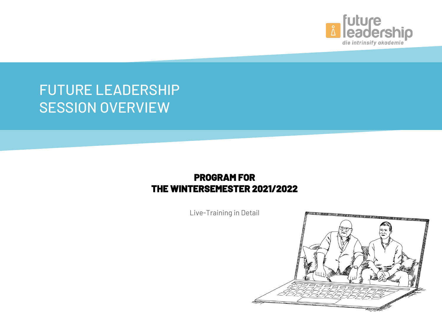

## FUTURE LEADERSHIP SESSION OVERVIEW

#### **PROGRAM FOR THE WINTERSEMESTER 2021/2022**

Live-Training in Detail

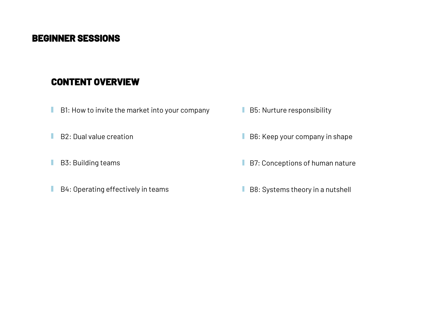- **B1:** How to invite the market into your company
- п B2: Dual value creation
- B3: Building teams п
- B4: Operating effectively in teams T.
- B5: Nurture responsibility
- B6: Keep your company in shape
- B7: Conceptions of human nature
- B8: Systems theory in a nutshell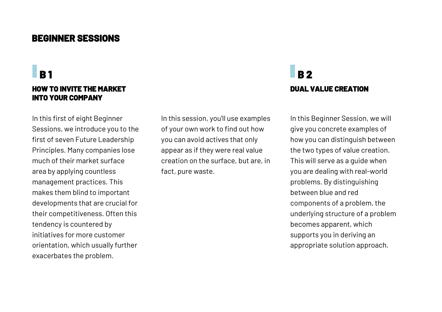#### **HOW TO INVITE THE MARKET INTO YOUR COMPANY**

In this first of eight Beginner Sessions, we introduce you to the first of seven Future Leadership Principles. Many companies lose much of their market surface area by applying countless management practices. This makes them blind to important developments that are crucial for their competitiveness. Often this tendency is countered by initiatives for more customer orientation, which usually further exacerbates the problem.

In this session, you'll use examples of your own work to find out how you can avoid actives that only appear as if they were real value creation on the surface, but are, in fact, pure waste.

### **DUAL VALUE CREATION B 1 B 2 B 2**

In this Beginner Session, we will give you concrete examples of how you can distinguish between the two types of value creation. This will serve as a guide when you are dealing with real-world problems. By distinguishing between blue and red components of a problem, the underlying structure of a problem becomes apparent, which supports you in deriving an appropriate solution approach.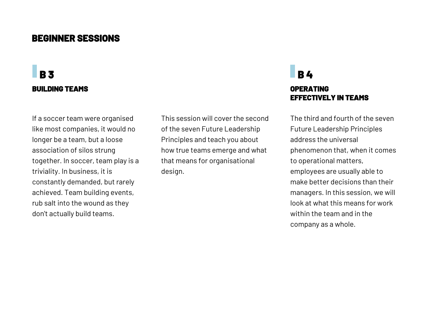### **BUILDING TEAMS OPERATING B 3 B 4 B 4 B 4 B 4 B 4**

If a soccer team were organised like most companies, it would no longer be a team, but a loose association of silos strung together. In soccer, team play is a triviality. In business, it is constantly demanded, but rarely achieved. Team building events, rub salt into the wound as they don't actually build teams.

This session will cover the second of the seven Future Leadership Principles and teach you about how true teams emerge and what that means for organisational design.

# **EFFECTIVELY IN TEAMS**

The third and fourth of the seven Future Leadership Principles address the universal phenomenon that, when it comes to operational matters, employees are usually able to make better decisions than their managers. In this session, we will look at what this means for work within the team and in the company as a whole.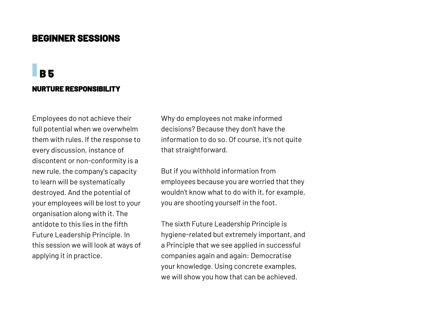### **NURTURE RESPONSIBILITY B 5**

Employees do not achieve their full potential when we overwhelm them with rules. If the response to every discussion, instance of discontent or non-conformity is a new rule, the company's capacity to learn will be systematically destroyed. And the potential of your employees will be lost to your organisation along with it. The antidote to this lies in the fifth Future Leadership Principle. In this session we will look at ways of applying it in practice.

Why do employees not make informed decisions? Because they don't have the information to do so. Of course, it's not quite that straightforward.

But if you withhold information from employees because you are worried that they wouldn't know what to do with it, for example, you are shooting yourself in the foot.

The sixth Future Leadership Principle is hygiene-related but extremely important, and a Principle that we see applied in successful companies again and again: Democratise your knowledge. Using concrete examples, we will show you how that can be achieved.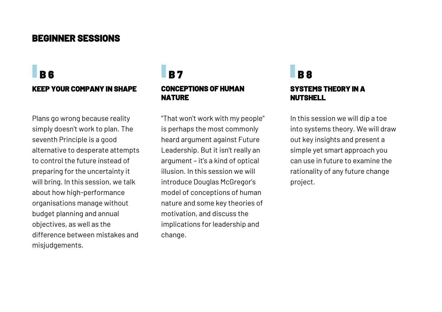### **KEEP YOUR COMPANY IN SHAPE B 6 B 7 B 8**

Plans go wrong because reality simply doesn't work to plan. The seventh Principle is a good alternative to desperate attempts to control the future instead of preparing for the uncertainty it will bring. In this session, we talk about how high-performance organisations manage without budget planning and annual objectives, as well as the difference between mistakes and misjudgements.

## **CONCEPTIONS OF HUMAN NATURE**

"That won't work with my people" is perhaps the most commonly heard argument against Future Leadership. But it isn't really an argument – it's a kind of optical illusion. In this session we will introduce Douglas McGregor's model of conceptions of human nature and some key theories of motivation, and discuss the implications for leadership and change.

## **SYSTEMS THEORY IN A NUTSHELL**

In this session we will dip a toe into systems theory. We will draw out key insights and present a simple yet smart approach you can use in future to examine the rationality of any future change project.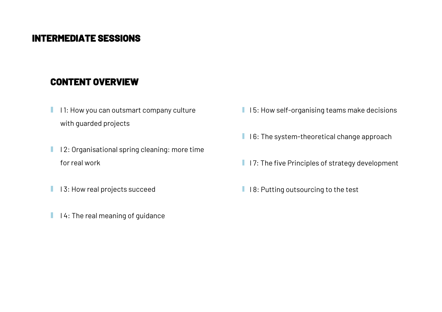- I 1: How you can outsmart company culture ٠ with guarded projects
- **I** 12: Organisational spring cleaning: more time for real work
- **I** 13: How real projects succeed
- $\blacksquare$  I 4: The real meaning of guidance
- $\blacksquare$  I 5: How self-organising teams make decisions
- $\blacksquare$  I 6: The system-theoretical change approach
- $\blacksquare$  I 7: The five Principles of strategy development
- $\blacksquare$  18: Putting outsourcing to the test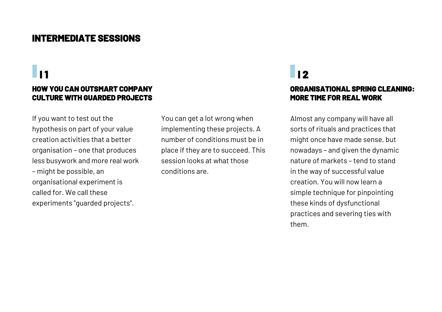#### **HOW YOU CAN OUTSMART COMPANY CULTURE WITH GUARDED PROJECTS**

If you want to test out the hypothesis on part of your value creation activities that a better organisation – one that produces less busywork and more real work – might be possible, an organisational experiment is called for. We call these experiments "guarded projects".

You can get a lot wrong when implementing these projects. A number of conditions must be in place if they are to succeed. This session looks at what those conditions are.

### **I** 1 **I**  $\blacksquare$

#### **ORGANISATIONAL SPRING CLEANING: MORE TIME FOR REAL WORK**

Almost any company will have all sorts of rituals and practices that might once have made sense, but nowadays – and given the dynamic nature of markets – tend to stand in the way of successful value creation. You will now learn a simple technique for pinpointing these kinds of dysfunctional practices and severing ties with them.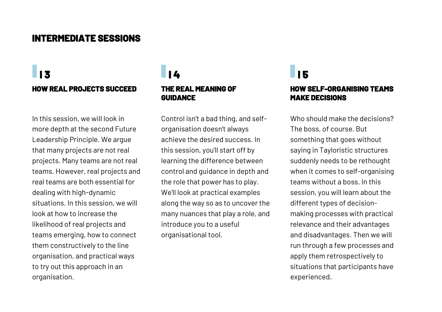### **I** 3 **I**  $\blacksquare$  **I** 4 **I** 4 **I** 5 **HOW REAL PROJECTS SUCCEED**

In this session, we will look in more depth at the second Future Leadership Principle. We argue that many projects are not real projects. Many teams are not real teams. However, real projects and real teams are both essential for dealing with high-dynamic situations. In this session, we will look at how to increase the likelihood of real projects and teams emerging, how to connect them constructively to the line organisation, and practical ways to try out this approach in an organisation.

## **THE REAL MEANING OF GUIDANCE**

Control isn't a bad thing, and selforganisation doesn't always achieve the desired success. In this session, you'll start off by learning the difference between control and guidance in depth and the role that power has to play. We'll look at practical examples along the way so as to uncover the many nuances that play a role, and introduce you to a useful organisational tool.

#### **HOW SELF-ORGANISING TEAMS MAKE DECISIONS**

Who should make the decisions? The boss, of course. But something that goes without saying in Tayloristic structures suddenly needs to be rethought when it comes to self-organising teams without a boss. In this session, you will learn about the different types of decisionmaking processes with practical relevance and their advantages and disadvantages. Then we will run through a few processes and apply them retrospectively to situations that participants have experienced.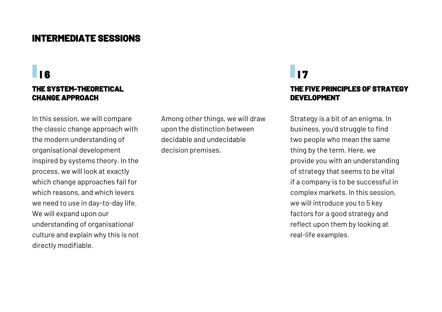#### **THE SYSTEM-THEORETICAL CHANGE APPROACH**

In this session, we will compare the classic change approach with the modern understanding of organisational development inspired by systems theory. In the process, we will look at exactly which change approaches fail for which reasons, and which levers we need to use in day-to-day life. We will expand upon our understanding of organisational culture and explain why this is not directly modifiable.

Among other things, we will draw upon the distinction between decidable and undecidable decision premises.

### **I 6** I 7

#### **THE FIVE PRINCIPLES OF STRATEGY DEVELOPMENT**

Strategy is a bit of an enigma. In business, you'd struggle to find two people who mean the same thing by the term. Here, we provide you with an understanding of strategy that seems to be vital if a company is to be successful in complex markets. In this session, we will introduce you to 5 key factors for a good strategy and reflect upon them by looking at real-life examples.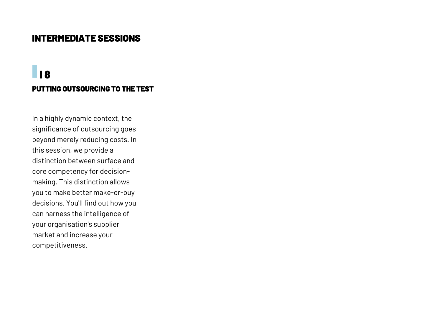### **PUTTING OUTSOURCING TO THE TEST I 8**

In a highly dynamic context, the significance of outsourcing goes beyond merely reducing costs. In this session, we provide a distinction between surface and core competency for decisionmaking. This distinction allows you to make better make-or-buy decisions. You'll find out how you can harness the intelligence of your organisation's supplier market and increase your competitiveness.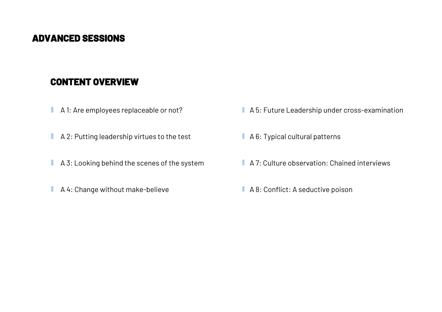- п A 1: Are employees replaceable or not?
- A 2: Putting leadership virtues to the test П
- A 3: Looking behind the scenes of the system ı
- A 4: Change without make-believe T.
- A 5: Future Leadership under cross-examination
- A 6: Typical cultural patterns
- A 7: Culture observation: Chained interviews
- A 8: Conflict: A seductive poison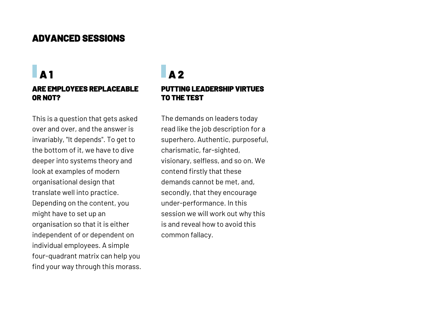### **A 1 ARE EMPLOYEES REPLACEABLE OR NOT?**

This is a question that gets asked over and over, and the answer is invariably, "It depends". To get to the bottom of it, we have to dive deeper into systems theory and look at examples of modern organisational design that translate well into practice. Depending on the content, you might have to set up an organisation so that it is either independent of or dependent on individual employees. A simple four-quadrant matrix can help you find your way through this morass.

### **PUTTING LEADERSHIP VIRTUES TO THE TEST A 2**

The demands on leaders today read like the job description for a superhero. Authentic, purposeful, charismatic, far-sighted, visionary, selfless, and so on. We contend firstly that these demands cannot be met, and, secondly, that they encourage under-performance. In this session we will work out why this is and reveal how to avoid this common fallacy.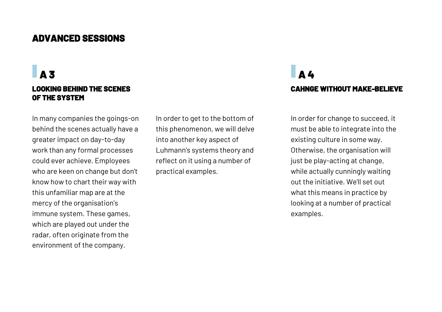**A 3** 

#### **LOOKING BEHIND THE SCENES OF THE SYSTEM**

In many companies the goings-on behind the scenes actually have a greater impact on day-to-day work than any formal processes could ever achieve. Employees who are keen on change but don't know how to chart their way with this unfamiliar map are at the mercy of the organisation's immune system. These games, which are played out under the radar, often originate from the environment of the company.

In order to get to the bottom of this phenomenon, we will delve into another key aspect of Luhmann's systems theory and reflect on it using a number of practical examples.

### **CAHNGE WITHOUT MAKE-BELIEVE A 4**

In order for change to succeed, it must be able to integrate into the existing culture in some way. Otherwise, the organisation will just be play-acting at change, while actually cunningly waiting out the initiative. We'll set out what this means in practice by looking at a number of practical examples.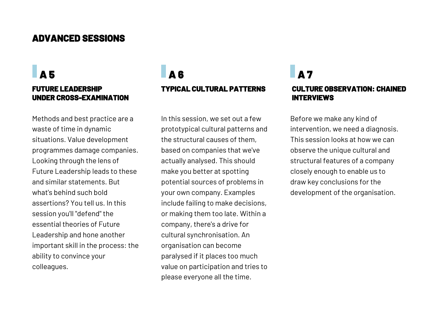## **UNDER CROSS-EXAMINATION**

Methods and best practice are a waste of time in dynamic situations. Value development programmes damage companies. Looking through the lens of Future Leadership leads to these and similar statements. But what's behind such bold assertions? You tell us. In this session you'll "defend" the essential theories of Future Leadership and hone another important skill in the process: the ability to convince your colleagues.

### **FUTURE LEADERSHIP TYPICAL CULTURAL PATTERNS A 5 A 6 A 7**

In this session, we set out a few prototypical cultural patterns and the structural causes of them, based on companies that we've actually analysed. This should make you better at spotting potential sources of problems in your own company. Examples include failing to make decisions, or making them too late. Within a company, there's a drive for cultural synchronisation. An organisation can become paralysed if it places too much value on participation and tries to please everyone all the time.

### **CULTURE OBSERVATION: CHAINED INTERVIEWS**

Before we make any kind of intervention, we need a diagnosis. This session looks at how we can observe the unique cultural and structural features of a company closely enough to enable us to draw key conclusions for the development of the organisation.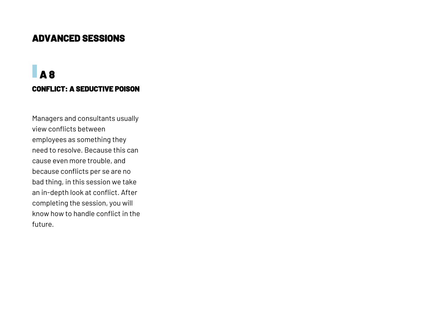### **CONFLICT: A SEDUCTIVE POISON A 8**

Managers and consultants usually view conflicts between employees as something they need to resolve. Because this can cause even more trouble, and because conflicts per se are no bad thing, in this session we take an in-depth look at conflict. After completing the session, you will know how to handle conflict in the future.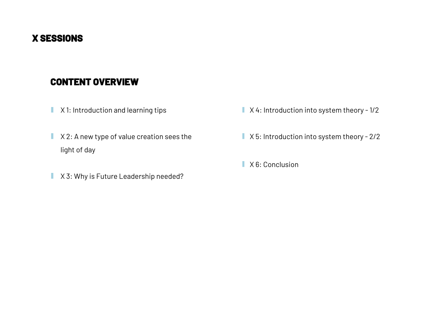#### **X SESSIONS**

- X 1: Introduction and learning tips п
- X 2: A new type of value creation sees the I light of day
- X 3: Why is Future Leadership needed? T,
- $\blacksquare$  X4: Introduction into system theory 1/2
- X 5: Introduction into system theory 2/2
- **X** 6: Conclusion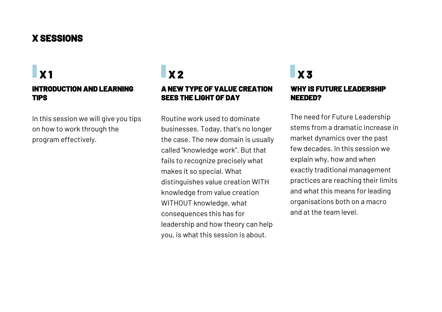#### **X SESSIONS**

### **INTRODUCTION AND LEARNING TIPS X 1**

In this session we will give you tips on how to work through the program effectively.

#### **A NEW TYPE OF VALUE CREATION SEES THE LIGHT OF DAY X 2**

Routine work used to dominate businesses. Today, that's no longer the case. The new domain is usually called ''knowledge work''. But that fails to recognize precisely what makes it so special. What distinguishes value creation WITH knowledge from value creation WITHOUT knowledge, what consequences this has for leadership and how theory can help you, is what this session is about.

#### **WHY IS FUTURE LEADERSHIP NEEDED? X 3**

The need for Future Leadership stems from a dramatic increase in market dynamics over the past few decades. In this session we explain why, how and when exactly traditional management practices are reaching their limits and what this means for leading organisations both on a macro and at the team level.